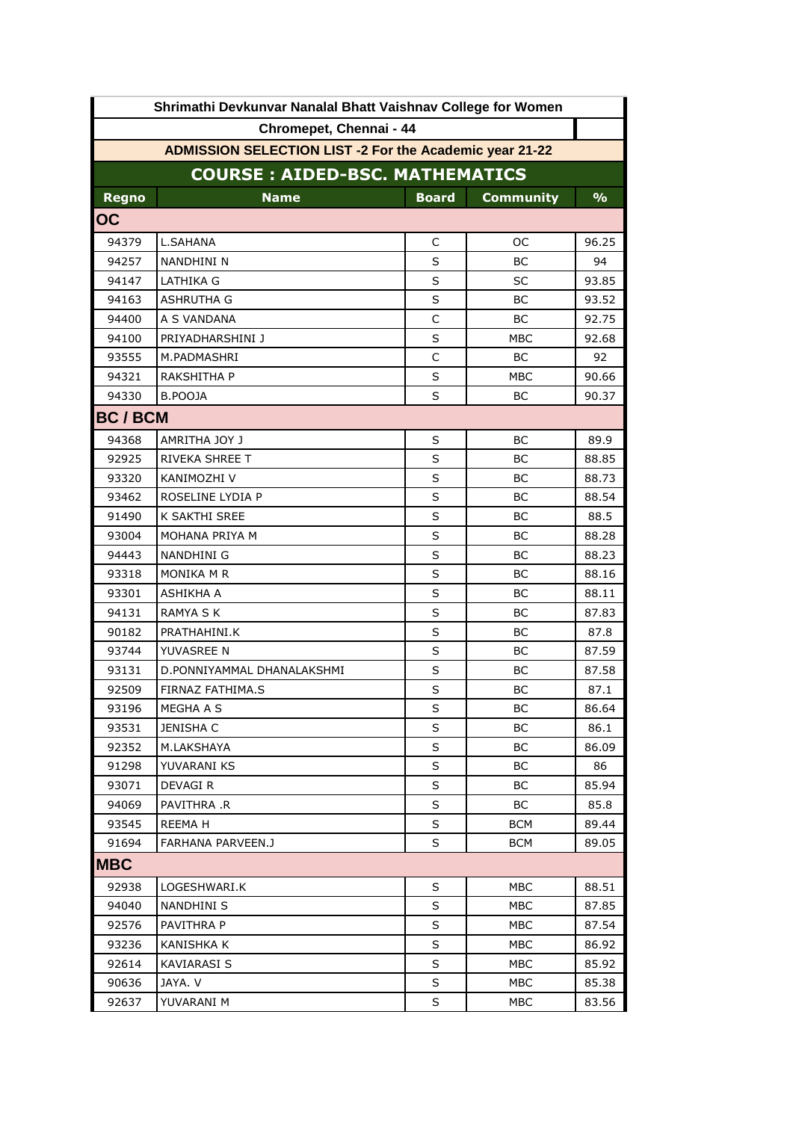| Shrimathi Devkunvar Nanalal Bhatt Vaishnav College for Women   |                            |              |                  |                |  |  |  |
|----------------------------------------------------------------|----------------------------|--------------|------------------|----------------|--|--|--|
| Chromepet, Chennai - 44                                        |                            |              |                  |                |  |  |  |
| <b>ADMISSION SELECTION LIST -2 For the Academic year 21-22</b> |                            |              |                  |                |  |  |  |
| <b>COURSE: AIDED-BSC. MATHEMATICS</b>                          |                            |              |                  |                |  |  |  |
| <b>Regno</b>                                                   | <b>Name</b>                | <b>Board</b> | <b>Community</b> | $\frac{9}{6}$  |  |  |  |
| OC                                                             |                            |              |                  |                |  |  |  |
| 94379                                                          | L.SAHANA                   | C            | ОC               | 96.25          |  |  |  |
| 94257                                                          | NANDHINI N                 | S            | ВC               | 94             |  |  |  |
| 94147                                                          | LATHIKA G                  | S            | SC               |                |  |  |  |
| 94163                                                          | <b>ASHRUTHA G</b>          | S            | BС               | 93.85<br>93.52 |  |  |  |
| 94400                                                          | A S VANDANA                | C            | ВC               | 92.75          |  |  |  |
| 94100                                                          | PRIYADHARSHINI J           | $\sf S$      | <b>MBC</b>       | 92.68          |  |  |  |
| 93555                                                          | M.PADMASHRI                | C            | ВC               | 92             |  |  |  |
| 94321                                                          | RAKSHITHA P                | S            | <b>MBC</b>       | 90.66          |  |  |  |
| 94330                                                          | B.POOJA                    | S            | BС               | 90.37          |  |  |  |
|                                                                |                            |              |                  |                |  |  |  |
| <b>BC/BCM</b>                                                  |                            |              |                  |                |  |  |  |
| 94368                                                          | AMRITHA JOY J              | S            | ВC               | 89.9           |  |  |  |
| 92925                                                          | RIVEKA SHREE T             | S            | BС               | 88.85          |  |  |  |
| 93320                                                          | KANIMOZHI V                | S            | BC               | 88.73          |  |  |  |
| 93462                                                          | ROSELINE LYDIA P           | S            | BС               | 88.54          |  |  |  |
| 91490                                                          | K SAKTHI SREE              | S            | ВC               | 88.5           |  |  |  |
| 93004                                                          | MOHANA PRIYA M             | S            | BС               | 88.28          |  |  |  |
| 94443                                                          | NANDHINI G                 | S            | BC               | 88.23          |  |  |  |
| 93318                                                          | MONIKA M R                 | S            | BC               | 88.16          |  |  |  |
| 93301                                                          | ASHIKHA A                  | $\sf S$      | BС               | 88.11          |  |  |  |
| 94131                                                          | RAMYA S K                  | S            | BC               | 87.83          |  |  |  |
| 90182                                                          | PRATHAHINI.K               | S            | BС               | 87.8           |  |  |  |
| 93744                                                          | YUVASREE N                 | S            | BС               | 87.59          |  |  |  |
| 93131                                                          | D.PONNIYAMMAL DHANALAKSHMI | $\sf S$      | BC               | 87.58          |  |  |  |
| 92509                                                          | FIRNAZ FATHIMA.S           | S            | BC               | 87.1           |  |  |  |
| 93196                                                          | MEGHA A S                  | S            | BС               | 86.64          |  |  |  |
| 93531                                                          | JENISHA C                  | S            | BС               | 86.1           |  |  |  |
| 92352                                                          | M.LAKSHAYA                 | S            | BС               | 86.09          |  |  |  |
| 91298                                                          | YUVARANI KS                | S            | BC               | 86             |  |  |  |
| 93071                                                          | <b>DEVAGIR</b>             | S            | BС               | 85.94          |  |  |  |
| 94069                                                          | PAVITHRA .R                | S            | BС               | 85.8           |  |  |  |
| 93545                                                          | <b>REEMAH</b>              | S            | <b>BCM</b>       | 89.44          |  |  |  |
| 91694                                                          | FARHANA PARVEEN.J          | S            | <b>BCM</b>       | 89.05          |  |  |  |
| <b>MBC</b>                                                     |                            |              |                  |                |  |  |  |
| 92938                                                          | LOGESHWARI.K               | S            | MBC              | 88.51          |  |  |  |
| 94040                                                          | NANDHINI S                 | S            | MBC              | 87.85          |  |  |  |
| 92576                                                          | PAVITHRA P                 | S            | MBC              | 87.54          |  |  |  |
| 93236                                                          | KANISHKA K                 | S            | MBC              | 86.92          |  |  |  |
| 92614                                                          | KAVIARASI S                | S            | MBC              | 85.92          |  |  |  |
| 90636                                                          | JAYA. V                    | S            | MBC              | 85.38          |  |  |  |
| 92637                                                          | YUVARANI M                 | S            | MBC              | 83.56          |  |  |  |